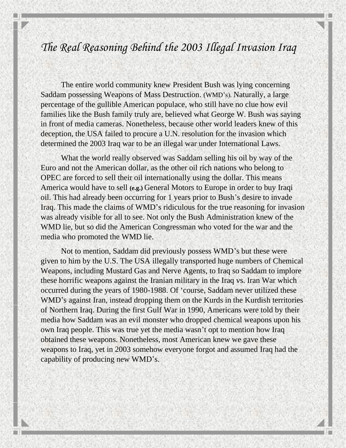## *The Real Reasoning Behind the 2003 Illegal Invasion Iraq*

The entire world community knew President Bush was lying concerning Saddam possessing Weapons of Mass Destruction. (WMD's). Naturally, a large percentage of the gullible American populace, who still have no clue how evil families like the Bush family truly are, believed what George W. Bush was saying in front of media cameras. Nonetheless, because other world leaders knew of this deception, the USA failed to procure a U.N. resolution for the invasion which determined the 2003 Iraq war to be an illegal war under International Laws.

What the world really observed was Saddam selling his oil by way of the Euro and not the American dollar, as the other oil rich nations who belong to OPEC are forced to sell their oil internationally using the dollar. This means America would have to sell **(e.g.)** General Motors to Europe in order to buy Iraqi oil. This had already been occurring for 1 years prior to Bush's desire to invade Iraq. This made the claims of WMD's ridiculous for the true reasoning for invasion was already visible for all to see. Not only the Bush Administration knew of the WMD lie, but so did the American Congressman who voted for the war and the media who promoted the WMD lie.

Not to mention, Saddam did previously possess WMD's but these were given to him by the U.S. The USA illegally transported huge numbers of Chemical Weapons, including Mustard Gas and Nerve Agents, to Iraq so Saddam to implore these horrific weapons against the Iranian military in the Iraq vs. Iran War which occurred during the years of 1980-1988. Of 'course, Saddam never utilized these WMD's against Iran, instead dropping them on the Kurds in the Kurdish territories of Northern Iraq. During the first Gulf War in 1990, Americans were told by their media how Saddam was an evil monster who dropped chemical weapons upon his own Iraq people. This was true yet the media wasn't opt to mention how Iraq obtained these weapons. Nonetheless, most American knew we gave these weapons to Iraq, yet in 2003 somehow everyone forgot and assumed Iraq had the capability of producing new WMD's.